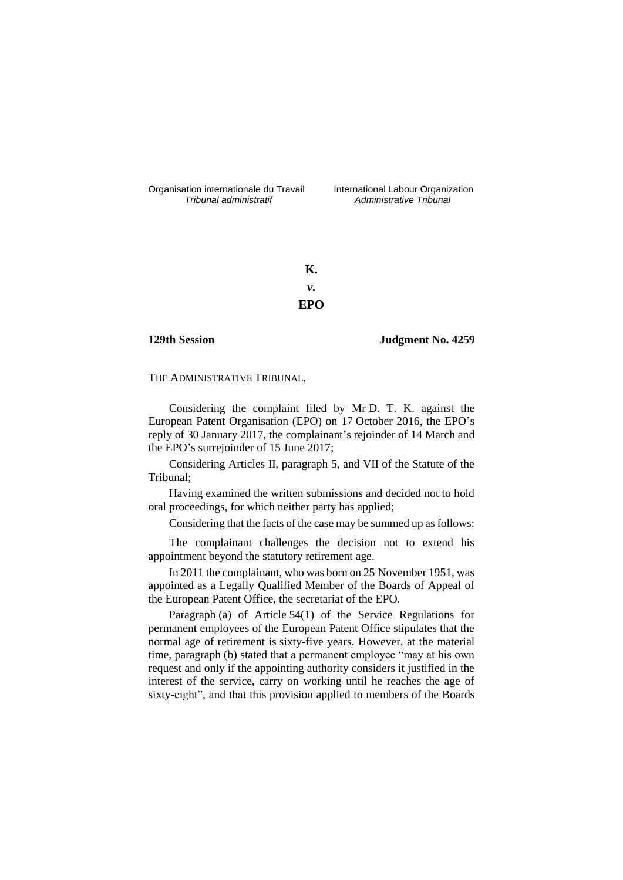Organisation internationale du Travail International Labour Organization<br>*Tribunal administratif Administrative Tribunal* 

*Tribunal administratif Administrative Tribunal*

**K.** *v.* **EPO**

**129th Session Judgment No. 4259**

THE ADMINISTRATIVE TRIBUNAL,

Considering the complaint filed by Mr D. T. K. against the European Patent Organisation (EPO) on 17 October 2016, the EPO's reply of 30 January 2017, the complainant's rejoinder of 14 March and the EPO's surrejoinder of 15 June 2017;

Considering Articles II, paragraph 5, and VII of the Statute of the Tribunal;

Having examined the written submissions and decided not to hold oral proceedings, for which neither party has applied;

Considering that the facts of the case may be summed up as follows:

The complainant challenges the decision not to extend his appointment beyond the statutory retirement age.

In 2011 the complainant, who was born on 25 November 1951, was appointed as a Legally Qualified Member of the Boards of Appeal of the European Patent Office, the secretariat of the EPO.

Paragraph (a) of Article 54(1) of the Service Regulations for permanent employees of the European Patent Office stipulates that the normal age of retirement is sixty-five years. However, at the material time, paragraph (b) stated that a permanent employee "may at his own request and only if the appointing authority considers it justified in the interest of the service, carry on working until he reaches the age of sixty-eight", and that this provision applied to members of the Boards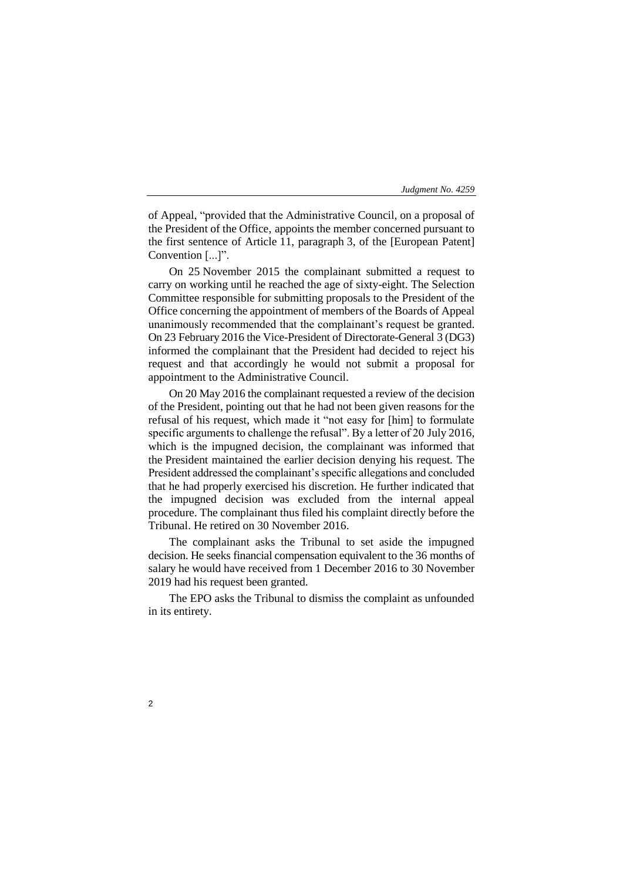of Appeal, "provided that the Administrative Council, on a proposal of the President of the Office, appoints the member concerned pursuant to the first sentence of Article 11, paragraph 3, of the [European Patent] Convention [...]".

On 25 November 2015 the complainant submitted a request to carry on working until he reached the age of sixty-eight. The Selection Committee responsible for submitting proposals to the President of the Office concerning the appointment of members of the Boards of Appeal unanimously recommended that the complainant's request be granted. On 23 February 2016 the Vice-President of Directorate-General 3 (DG3) informed the complainant that the President had decided to reject his request and that accordingly he would not submit a proposal for appointment to the Administrative Council.

On 20 May 2016 the complainant requested a review of the decision of the President, pointing out that he had not been given reasons for the refusal of his request, which made it "not easy for [him] to formulate specific arguments to challenge the refusal". By a letter of 20 July 2016, which is the impugned decision, the complainant was informed that the President maintained the earlier decision denying his request. The President addressed the complainant's specific allegations and concluded that he had properly exercised his discretion. He further indicated that the impugned decision was excluded from the internal appeal procedure. The complainant thus filed his complaint directly before the Tribunal. He retired on 30 November 2016.

The complainant asks the Tribunal to set aside the impugned decision. He seeks financial compensation equivalent to the 36 months of salary he would have received from 1 December 2016 to 30 November 2019 had his request been granted.

The EPO asks the Tribunal to dismiss the complaint as unfounded in its entirety.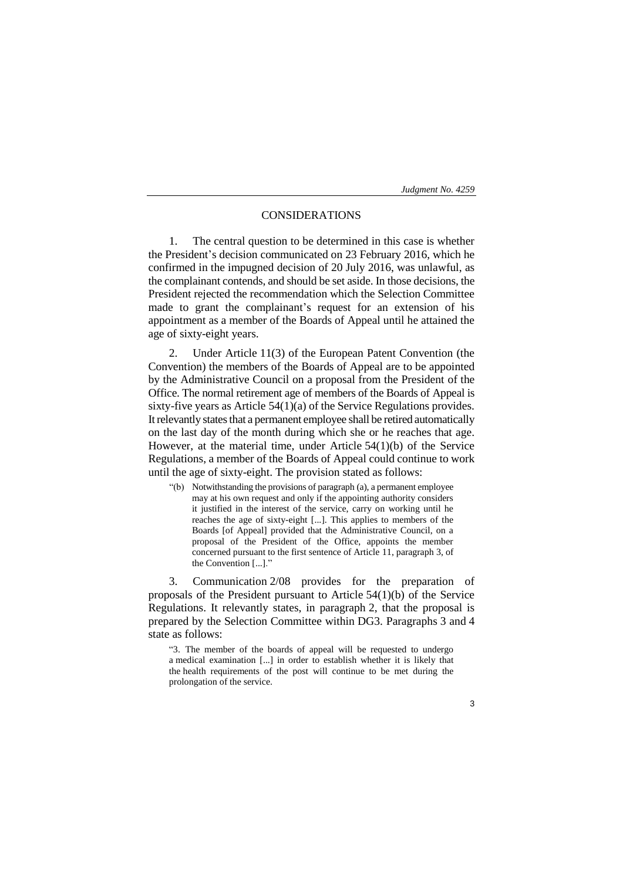# CONSIDERATIONS

1. The central question to be determined in this case is whether the President's decision communicated on 23 February 2016, which he confirmed in the impugned decision of 20 July 2016, was unlawful, as the complainant contends, and should be set aside. In those decisions, the President rejected the recommendation which the Selection Committee made to grant the complainant's request for an extension of his appointment as a member of the Boards of Appeal until he attained the age of sixty-eight years.

2. Under Article 11(3) of the European Patent Convention (the Convention) the members of the Boards of Appeal are to be appointed by the Administrative Council on a proposal from the President of the Office. The normal retirement age of members of the Boards of Appeal is sixty-five years as Article 54(1)(a) of the Service Regulations provides. It relevantly states that a permanent employee shall be retired automatically on the last day of the month during which she or he reaches that age. However, at the material time, under Article 54(1)(b) of the Service Regulations, a member of the Boards of Appeal could continue to work until the age of sixty-eight. The provision stated as follows:

"(b) Notwithstanding the provisions of paragraph (a), a permanent employee may at his own request and only if the appointing authority considers it justified in the interest of the service, carry on working until he reaches the age of sixty-eight [...]. This applies to members of the Boards [of Appeal] provided that the Administrative Council, on a proposal of the President of the Office, appoints the member concerned pursuant to the first sentence of Article 11, paragraph 3, of the Convention [...]."

3. Communication 2/08 provides for the preparation of proposals of the President pursuant to Article 54(1)(b) of the Service Regulations. It relevantly states, in paragraph 2, that the proposal is prepared by the Selection Committee within DG3. Paragraphs 3 and 4 state as follows:

"3. The member of the boards of appeal will be requested to undergo a medical examination [...] in order to establish whether it is likely that the health requirements of the post will continue to be met during the prolongation of the service.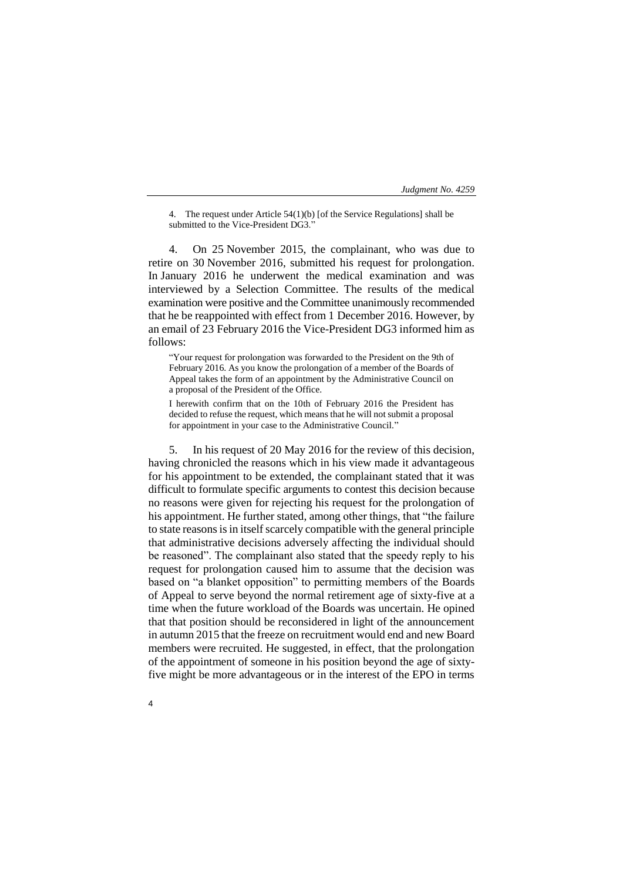4. The request under Article 54(1)(b) [of the Service Regulations] shall be submitted to the Vice-President DG3."

4. On 25 November 2015, the complainant, who was due to retire on 30 November 2016, submitted his request for prolongation. In January 2016 he underwent the medical examination and was interviewed by a Selection Committee. The results of the medical examination were positive and the Committee unanimously recommended that he be reappointed with effect from 1 December 2016. However, by an email of 23 February 2016 the Vice-President DG3 informed him as follows:

"Your request for prolongation was forwarded to the President on the 9th of February 2016. As you know the prolongation of a member of the Boards of Appeal takes the form of an appointment by the Administrative Council on a proposal of the President of the Office.

I herewith confirm that on the 10th of February 2016 the President has decided to refuse the request, which means that he will not submit a proposal for appointment in your case to the Administrative Council."

5. In his request of 20 May 2016 for the review of this decision, having chronicled the reasons which in his view made it advantageous for his appointment to be extended, the complainant stated that it was difficult to formulate specific arguments to contest this decision because no reasons were given for rejecting his request for the prolongation of his appointment. He further stated, among other things, that "the failure to state reasons is in itself scarcely compatible with the general principle that administrative decisions adversely affecting the individual should be reasoned". The complainant also stated that the speedy reply to his request for prolongation caused him to assume that the decision was based on "a blanket opposition" to permitting members of the Boards of Appeal to serve beyond the normal retirement age of sixty-five at a time when the future workload of the Boards was uncertain. He opined that that position should be reconsidered in light of the announcement in autumn 2015 that the freeze on recruitment would end and new Board members were recruited. He suggested, in effect, that the prolongation of the appointment of someone in his position beyond the age of sixtyfive might be more advantageous or in the interest of the EPO in terms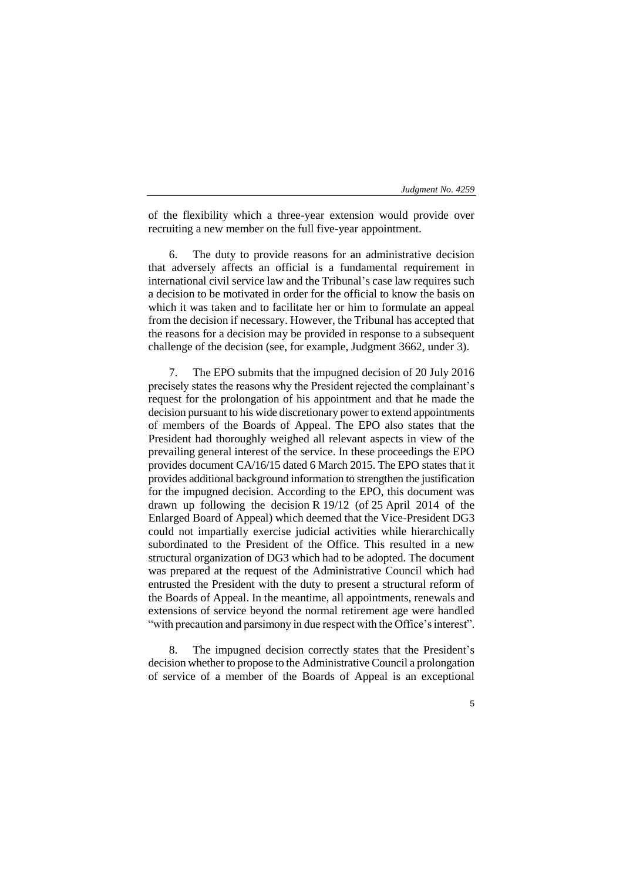of the flexibility which a three-year extension would provide over recruiting a new member on the full five-year appointment.

The duty to provide reasons for an administrative decision that adversely affects an official is a fundamental requirement in international civil service law and the Tribunal's case law requires such a decision to be motivated in order for the official to know the basis on which it was taken and to facilitate her or him to formulate an appeal from the decision if necessary. However, the Tribunal has accepted that the reasons for a decision may be provided in response to a subsequent challenge of the decision (see, for example, Judgment 3662, under 3).

The EPO submits that the impugned decision of 20 July 2016 precisely states the reasons why the President rejected the complainant's request for the prolongation of his appointment and that he made the decision pursuant to his wide discretionary power to extend appointments of members of the Boards of Appeal. The EPO also states that the President had thoroughly weighed all relevant aspects in view of the prevailing general interest of the service. In these proceedings the EPO provides document CA/16/15 dated 6 March 2015. The EPO states that it provides additional background information to strengthen the justification for the impugned decision. According to the EPO, this document was drawn up following the decision R 19/12 (of 25 April 2014 of the Enlarged Board of Appeal) which deemed that the Vice-President DG3 could not impartially exercise judicial activities while hierarchically subordinated to the President of the Office. This resulted in a new structural organization of DG3 which had to be adopted. The document was prepared at the request of the Administrative Council which had entrusted the President with the duty to present a structural reform of the Boards of Appeal. In the meantime, all appointments, renewals and extensions of service beyond the normal retirement age were handled "with precaution and parsimony in due respect with the Office's interest".

8. The impugned decision correctly states that the President's decision whether to propose to the Administrative Council a prolongation of service of a member of the Boards of Appeal is an exceptional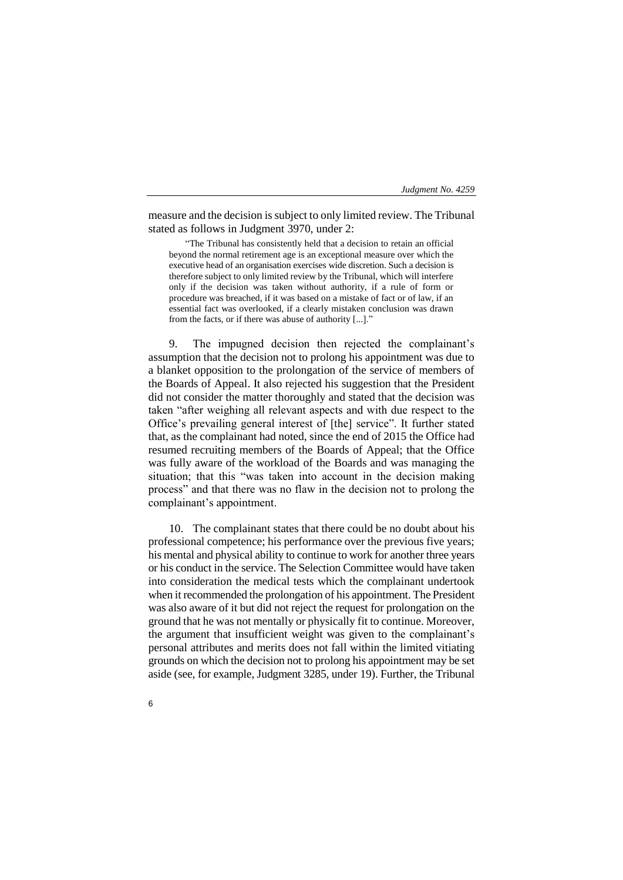measure and the decision is subject to only limited review. The Tribunal stated as follows in Judgment 3970, under 2:

"The Tribunal has consistently held that a decision to retain an official beyond the normal retirement age is an exceptional measure over which the executive head of an organisation exercises wide discretion. Such a decision is therefore subject to only limited review by the Tribunal, which will interfere only if the decision was taken without authority, if a rule of form or procedure was breached, if it was based on a mistake of fact or of law, if an essential fact was overlooked, if a clearly mistaken conclusion was drawn from the facts, or if there was abuse of authority [...]."

9. The impugned decision then rejected the complainant's assumption that the decision not to prolong his appointment was due to a blanket opposition to the prolongation of the service of members of the Boards of Appeal. It also rejected his suggestion that the President did not consider the matter thoroughly and stated that the decision was taken "after weighing all relevant aspects and with due respect to the Office's prevailing general interest of [the] service". It further stated that, as the complainant had noted, since the end of 2015 the Office had resumed recruiting members of the Boards of Appeal; that the Office was fully aware of the workload of the Boards and was managing the situation; that this "was taken into account in the decision making process" and that there was no flaw in the decision not to prolong the complainant's appointment.

10. The complainant states that there could be no doubt about his professional competence; his performance over the previous five years; his mental and physical ability to continue to work for another three years or his conduct in the service. The Selection Committee would have taken into consideration the medical tests which the complainant undertook when it recommended the prolongation of his appointment. The President was also aware of it but did not reject the request for prolongation on the ground that he was not mentally or physically fit to continue. Moreover, the argument that insufficient weight was given to the complainant's personal attributes and merits does not fall within the limited vitiating grounds on which the decision not to prolong his appointment may be set aside (see, for example, Judgment 3285, under 19). Further, the Tribunal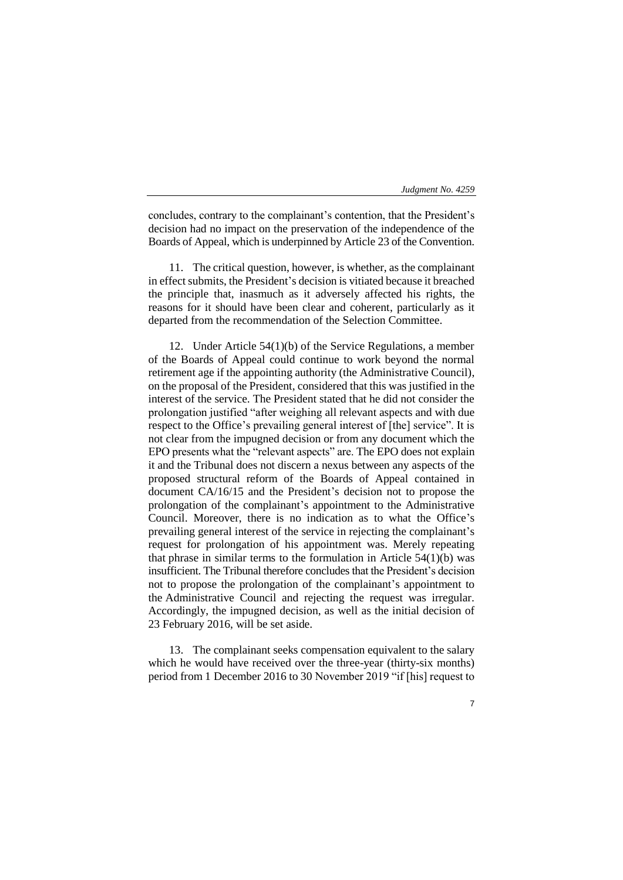concludes, contrary to the complainant's contention, that the President's decision had no impact on the preservation of the independence of the Boards of Appeal, which is underpinned by Article 23 of the Convention.

11. The critical question, however, is whether, as the complainant in effect submits, the President's decision is vitiated because it breached the principle that, inasmuch as it adversely affected his rights, the reasons for it should have been clear and coherent, particularly as it departed from the recommendation of the Selection Committee.

12. Under Article 54(1)(b) of the Service Regulations, a member of the Boards of Appeal could continue to work beyond the normal retirement age if the appointing authority (the Administrative Council), on the proposal of the President, considered that this was justified in the interest of the service. The President stated that he did not consider the prolongation justified "after weighing all relevant aspects and with due respect to the Office's prevailing general interest of [the] service". It is not clear from the impugned decision or from any document which the EPO presents what the "relevant aspects" are. The EPO does not explain it and the Tribunal does not discern a nexus between any aspects of the proposed structural reform of the Boards of Appeal contained in document CA/16/15 and the President's decision not to propose the prolongation of the complainant's appointment to the Administrative Council. Moreover, there is no indication as to what the Office's prevailing general interest of the service in rejecting the complainant's request for prolongation of his appointment was. Merely repeating that phrase in similar terms to the formulation in Article  $54(1)(b)$  was insufficient. The Tribunal therefore concludes that the President's decision not to propose the prolongation of the complainant's appointment to the Administrative Council and rejecting the request was irregular. Accordingly, the impugned decision, as well as the initial decision of 23 February 2016, will be set aside.

13. The complainant seeks compensation equivalent to the salary which he would have received over the three-year (thirty-six months) period from 1 December 2016 to 30 November 2019 "if [his] request to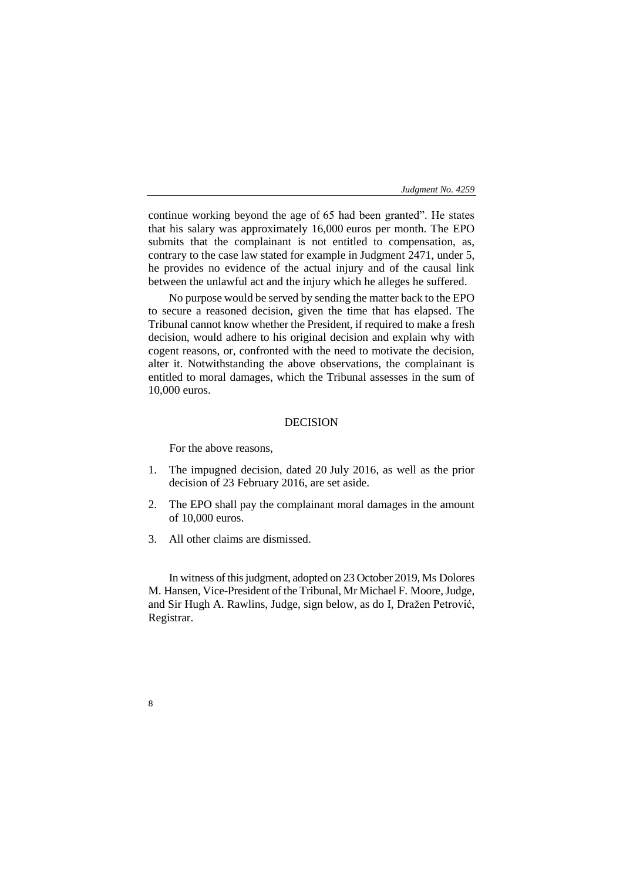continue working beyond the age of 65 had been granted". He states that his salary was approximately 16,000 euros per month. The EPO submits that the complainant is not entitled to compensation, as, contrary to the case law stated for example in Judgment 2471, under 5, he provides no evidence of the actual injury and of the causal link between the unlawful act and the injury which he alleges he suffered.

No purpose would be served by sending the matter back to the EPO to secure a reasoned decision, given the time that has elapsed. The Tribunal cannot know whether the President, if required to make a fresh decision, would adhere to his original decision and explain why with cogent reasons, or, confronted with the need to motivate the decision, alter it. Notwithstanding the above observations, the complainant is entitled to moral damages, which the Tribunal assesses in the sum of 10,000 euros.

## DECISION

For the above reasons,

- 1. The impugned decision, dated 20 July 2016, as well as the prior decision of 23 February 2016, are set aside.
- 2. The EPO shall pay the complainant moral damages in the amount of 10,000 euros.
- 3. All other claims are dismissed.

8

In witness of this judgment, adopted on 23 October 2019, Ms Dolores M. Hansen, Vice-President of the Tribunal, Mr Michael F. Moore, Judge, and Sir Hugh A. Rawlins, Judge, sign below, as do I, Dražen Petrović, Registrar.